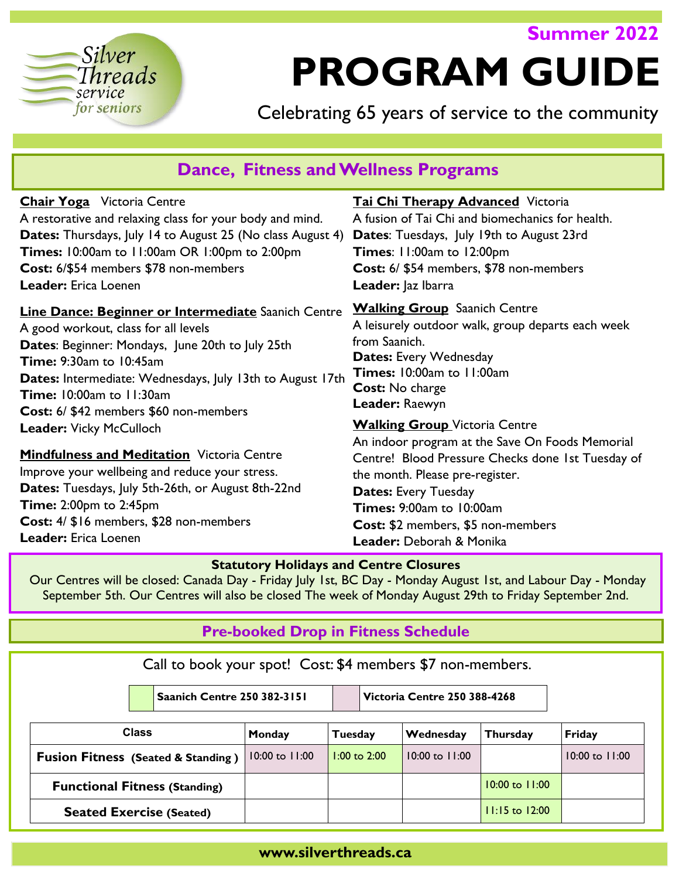# Silver Threads service for seniors

# **PROGRAM GUIDE**

**Summer 2022**

Celebrating 65 years of service to the community

| <b>Dance, Fitness and Wellness Programs</b>                       |                                                                                         |  |  |  |
|-------------------------------------------------------------------|-----------------------------------------------------------------------------------------|--|--|--|
| <b>Chair Yoga</b> Victoria Centre                                 | <b>Tai Chi Therapy Advanced Victoria</b>                                                |  |  |  |
| A restorative and relaxing class for your body and mind.          | A fusion of Tai Chi and biomechanics for health.                                        |  |  |  |
| <b>Dates:</b> Thursdays, July 14 to August 25 (No class August 4) | <b>Dates:</b> Tuesdays, July 19th to August 23rd                                        |  |  |  |
| Times: 10:00am to 11:00am OR 1:00pm to 2:00pm                     | <b>Times: 11:00am to 12:00pm</b>                                                        |  |  |  |
| Cost: 6/\$54 members \$78 non-members                             | Cost: 6/ \$54 members, \$78 non-members                                                 |  |  |  |
| <b>Leader:</b> Erica Loenen                                       | Leader: Jaz Ibarra                                                                      |  |  |  |
| Line Dance: Beginner or Intermediate Saanich Centre               | <b>Walking Group</b> Saanich Centre                                                     |  |  |  |
| A good workout, class for all levels                              | A leisurely outdoor walk, group departs each week                                       |  |  |  |
| Dates: Beginner: Mondays, June 20th to July 25th                  | from Saanich.                                                                           |  |  |  |
| <b>Time: 9:30am to 10:45am</b>                                    | Dates: Every Wednesday                                                                  |  |  |  |
| Dates: Intermediate: Wednesdays, July 13th to August 17th         | Times: 10:00am to 11:00am                                                               |  |  |  |
| <b>Time: 10:00am to 11:30am</b>                                   | Cost: No charge                                                                         |  |  |  |
| Cost: 6/ \$42 members \$60 non-members                            | Leader: Raewyn                                                                          |  |  |  |
| <b>Leader: Vicky McCulloch</b>                                    | <b>Walking Group</b> Victoria Centre<br>An indoor program at the Save On Foods Memorial |  |  |  |
| <b>Mindfulness and Meditation Victoria Centre</b>                 | Centre! Blood Pressure Checks done 1st Tuesday of                                       |  |  |  |
| Improve your wellbeing and reduce your stress.                    | the month. Please pre-register.                                                         |  |  |  |
| Dates: Tuesdays, July 5th-26th, or August 8th-22nd                | <b>Dates: Every Tuesday</b>                                                             |  |  |  |
| <b>Time: 2:00pm to 2:45pm</b>                                     | Times: 9:00am to 10:00am                                                                |  |  |  |
| Cost: 4/ \$16 members, \$28 non-members                           | Cost: \$2 members, \$5 non-members                                                      |  |  |  |
| <b>Leader:</b> Erica Loenen                                       | Leader: Deborah & Monika                                                                |  |  |  |

## **Statutory Holidays and Centre Closures**

Our Centres will be closed: Canada Day - Friday July 1st, BC Day - Monday August 1st, and Labour Day - Monday September 5th. Our Centres will also be closed The week of Monday August 29th to Friday September 2nd.

# **Pre-booked Drop in Fitness Schedule**

Call to book your spot! Cost: \$4 members \$7 non-members.

|                                               | <b>Saanich Centre 250 382-3151</b> |                  | <b>Victoria Centre 250 388-4268</b> |                    |                   |
|-----------------------------------------------|------------------------------------|------------------|-------------------------------------|--------------------|-------------------|
| <b>Class</b>                                  | Monday                             | Tuesday          | Wednesday                           | Thursday           | Friday            |
| <b>Fusion Fitness (Seated &amp; Standing)</b> | 10:00 to 11:00                     | $1:00$ to $2:00$ | $10:00$ to $11:00$                  |                    | $10:00$ to $1:00$ |
| <b>Functional Fitness (Standing)</b>          |                                    |                  |                                     | $10:00$ to $1:00$  |                   |
| <b>Seated Exercise (Seated)</b>               |                                    |                  |                                     | $11:15$ to $12:00$ |                   |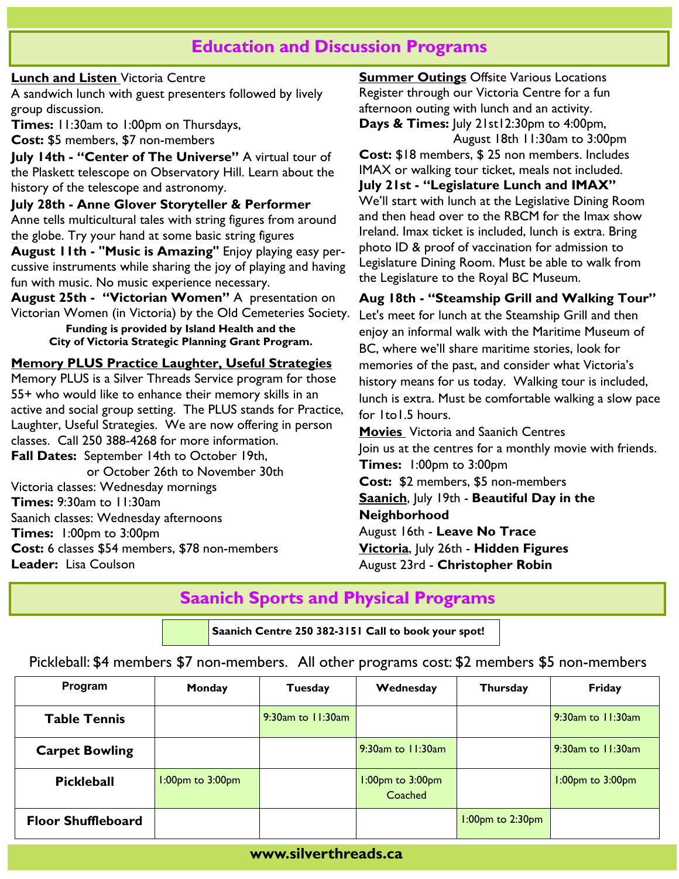## **Education and Discussion Programs**

#### **Lunch and Listen** Victoria Centre

A sandwich lunch with guest presenters followed by lively group discussion.

**Times:** 11:30am to 1:00pm on Thursdays,

**Cost:** \$5 members, \$7 non-members

**July 14th - "Center of The Universe"** A virtual tour of the Plaskett telescope on Observatory Hill. Learn about the history of the telescope and astronomy.

**July 28th - Anne Glover Storyteller & Performer**  Anne tells multicultural tales with string figures from around the globe. Try your hand at some basic string figures **August 11th - "Music is Amazing"** Enjoy playing easy per-

cussive instruments while sharing the joy of playing and having fun with music. No music experience necessary.

**August 25th - "Victorian Women"** A presentation on Victorian Women (in Victoria) by the Old Cemeteries Society.

**Funding is provided by Island Health and the City of Victoria Strategic Planning Grant Program.**

## **Memory PLUS Practice Laughter, Useful Strategies**

Memory PLUS is a Silver Threads Service program for those 55+ who would like to enhance their memory skills in an active and social group setting. The PLUS stands for Practice, Laughter, Useful Strategies. We are now offering in person classes. Call 250 388-4268 for more information. **Fall Dates:** September 14th to October 19th,

 or October 26th to November 30th Victoria classes: Wednesday mornings **Times:** 9:30am to 11:30am Saanich classes: Wednesday afternoons **Times:** 1:00pm to 3:00pm **Cost:** 6 classes \$54 members, \$78 non-members **Leader:** Lisa Coulson

**Summer Outings Offsite Various Locations** Register through our Victoria Centre for a fun afternoon outing with lunch and an activity. **Days & Times:** July 21st12:30pm to 4:00pm,

August 18th 11:30am to 3:00pm **Cost:** \$18 members, \$ 25 non members. Includes IMAX or walking tour ticket, meals not included. **July 21st - "Legislature Lunch and IMAX"**  We'll start with lunch at the Legislative Dining Room and then head over to the RBCM for the Imax show Ireland. Imax ticket is included, lunch is extra. Bring photo ID & proof of vaccination for admission to Legislature Dining Room. Must be able to walk from the Legislature to the Royal BC Museum.

**Aug 18th - "Steamship Grill and Walking Tour"**  Let's meet for lunch at the Steamship Grill and then enjoy an informal walk with the Maritime Museum of BC, where we'll share maritime stories, look for memories of the past, and consider what Victoria's history means for us today. Walking tour is included, lunch is extra. Must be comfortable walking a slow pace for 1to1.5 hours.

**Movies** Victoria and Saanich Centres Join us at the centres for a monthly movie with friends. **Times:** 1:00pm to 3:00pm **Cost:** \$2 members, \$5 non-members **Saanich**, July 19th - **Beautiful Day in the Neighborhood** August 16th - **Leave No Trace Victoria**, July 26th - **Hidden Figures** August 23rd - **Christopher Robin**

# **Saanich Sports and Physical Programs**

**Saanich Centre 250 382-3151 Call to book your spot!**

## Pickleball: \$4 members \$7 non-members. All other programs cost: \$2 members \$5 non-members

| Program                   | Monday                 | <b>Tuesday</b>    | Wednesday                         | <b>Thursday</b>        | Friday                 |
|---------------------------|------------------------|-------------------|-----------------------------------|------------------------|------------------------|
| <b>Table Tennis</b>       |                        | 9:30am to 11:30am |                                   |                        | $9:30$ am to $1:30$ am |
| <b>Carpet Bowling</b>     |                        |                   | $9:30$ am to $1:30$ am            |                        | $9:30$ am to $1:30$ am |
| <b>Pickleball</b>         | $1:00$ pm to $3:00$ pm |                   | $1:00$ pm to $3:00$ pm<br>Coached |                        | $1:00$ pm to $3:00$ pm |
| <b>Floor Shuffleboard</b> |                        |                   |                                   | $1:00$ pm to $2:30$ pm |                        |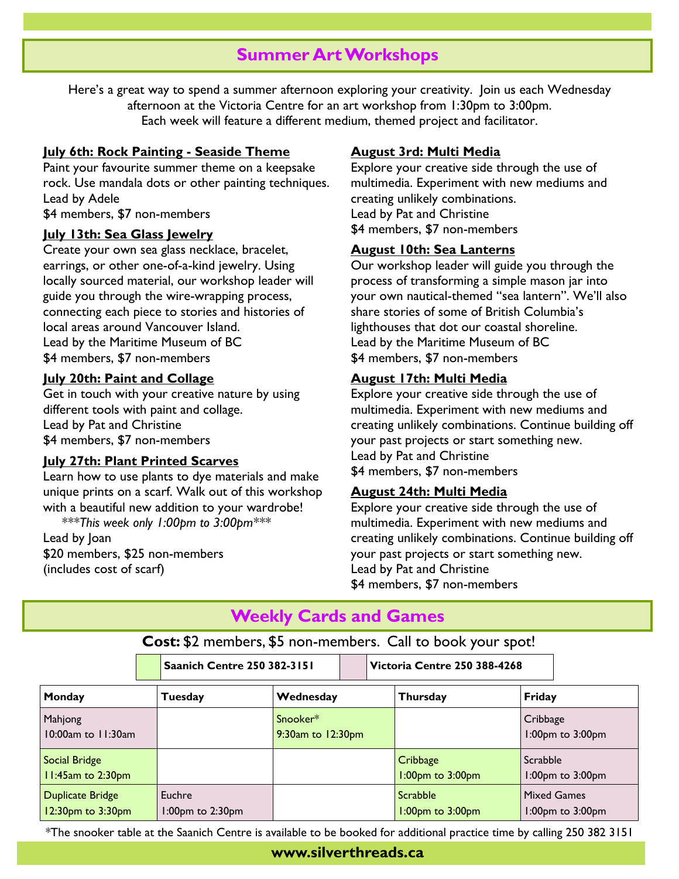## **Summer Art Workshops**

Here's a great way to spend a summer afternoon exploring your creativity. Join us each Wednesday afternoon at the Victoria Centre for an art workshop from 1:30pm to 3:00pm. Each week will feature a different medium, themed project and facilitator.

#### **July 6th: Rock Painting - Seaside Theme**

Paint your favourite summer theme on a keepsake rock. Use mandala dots or other painting techniques. Lead by Adele \$4 members, \$7 non-members

#### **July 13th: Sea Glass Jewelry**

Create your own sea glass necklace, bracelet, earrings, or other one-of-a-kind jewelry. Using locally sourced material, our workshop leader will guide you through the wire-wrapping process, connecting each piece to stories and histories of local areas around Vancouver Island. Lead by the Maritime Museum of BC \$4 members, \$7 non-members

#### **July 20th: Paint and Collage**

Get in touch with your creative nature by using different tools with paint and collage. Lead by Pat and Christine \$4 members, \$7 non-members

## **July 27th: Plant Printed Scarves**

Learn how to use plants to dye materials and make unique prints on a scarf. Walk out of this workshop with a beautiful new addition to your wardrobe!  *\*\*\*This week only 1:00pm to 3:00pm\*\*\**

Lead by Joan \$20 members, \$25 non-members (includes cost of scarf)

## **August 3rd: Multi Media**

Explore your creative side through the use of multimedia. Experiment with new mediums and creating unlikely combinations. Lead by Pat and Christine \$4 members, \$7 non-members

#### **August 10th: Sea Lanterns**

Our workshop leader will guide you through the process of transforming a simple mason jar into your own nautical-themed "sea lantern". We'll also share stories of some of British Columbia's lighthouses that dot our coastal shoreline. Lead by the Maritime Museum of BC \$4 members, \$7 non-members

### **August 17th: Multi Media**

Explore your creative side through the use of multimedia. Experiment with new mediums and creating unlikely combinations. Continue building off your past projects or start something new. Lead by Pat and Christine \$4 members, \$7 non-members

#### **August 24th: Multi Media**

Explore your creative side through the use of multimedia. Experiment with new mediums and creating unlikely combinations. Continue building off your past projects or start something new. Lead by Pat and Christine \$4 members, \$7 non-members

## **Weekly Cards and Games**

**Cost:** \$2 members, \$5 non-members. Call to book your spot! **Saanich Centre 250 382-3151 Victoria Centre 250 388-4268**

| Monday                                       | Tuesday                    | Wednesday                     | <b>Thursday</b>                    | Friday                                 |
|----------------------------------------------|----------------------------|-------------------------------|------------------------------------|----------------------------------------|
| Mahjong<br>$10:00$ am to $11:30$ am          |                            | Snooker*<br>9:30am to 12:30pm |                                    | Cribbage<br>1:00pm to 3:00pm           |
| Social Bridge<br>11:45am to 2:30pm           |                            |                               | Cribbage<br>1:00pm to 3:00pm       | Scrabble<br>1:00pm to 3:00pm           |
| <b>Duplicate Bridge</b><br>12:30pm to 3:30pm | Euchre<br>1:00pm to 2:30pm |                               | Scrabble<br>$1:00$ pm to $3:00$ pm | <b>Mixed Games</b><br>1:00pm to 3:00pm |

\*The snooker table at the Saanich Centre is available to be booked for additional practice time by calling 250 382 3151

## **www.silverthreads.ca**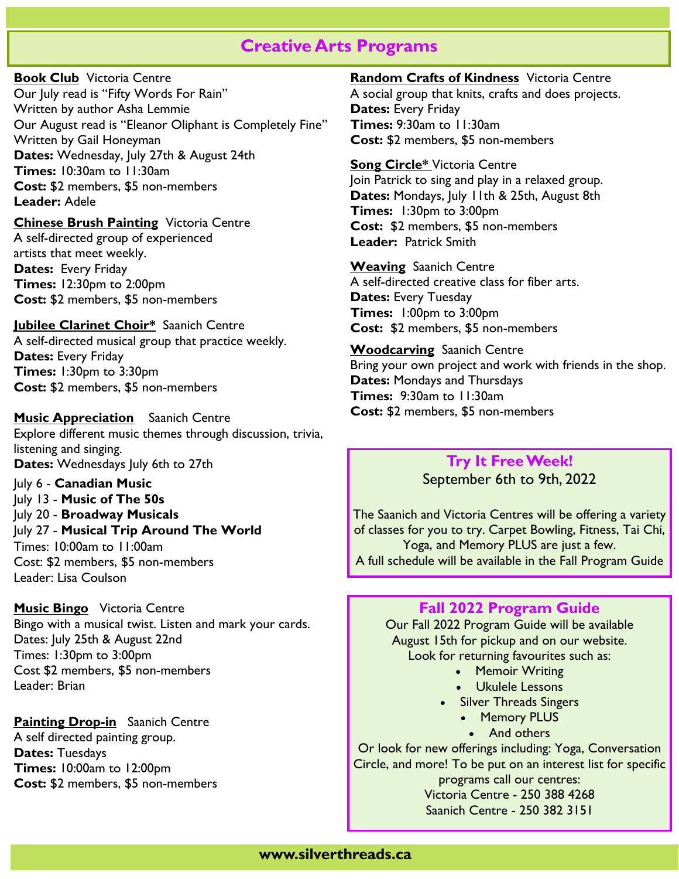## **Creative Arts Programs**

**Book Club** Victoria Centre Our July read is "Fifty Words For Rain" Written by author Asha Lemmie Our August read is "Eleanor Oliphant is Completely Fine" Written by Gail Honeyman **Dates:** Wednesday, July 27th & August 24th **Times:** 10:30am to 11:30am **Cost:** \$2 members, \$5 non-members **Leader:** Adele

**Chinese Brush Painting** Victoria Centre A self-directed group of experienced artists that meet weekly. **Dates:** Every Friday **Times:** 12:30pm to 2:00pm **Cost:** \$2 members, \$5 non-members

**Jubilee Clarinet Choir\*** Saanich Centre A self-directed musical group that practice weekly. **Dates:** Every Friday **Times:** 1:30pm to 3:30pm **Cost:** \$2 members, \$5 non-members

**Music Appreciation** Saanich Centre Explore different music themes through discussion, trivia, listening and singing. **Dates:** Wednesdays July 6th to 27th

July 6 - **Canadian Music** July 13 - **Music of The 50s** July 20 - **Broadway Musicals** July 27 - **Musical Trip Around The World** Times: 10:00am to 11:00am Cost: \$2 members, \$5 non-members Leader: Lisa Coulson

**Music Bingo** Victoria Centre Bingo with a musical twist. Listen and mark your cards. Dates: July 25th & August 22nd Times: 1:30pm to 3:00pm Cost \$2 members, \$5 non-members Leader: Brian

**Painting Drop-in** Saanich Centre A self directed painting group. **Dates:** Tuesdays **Times:** 10:00am to 12:00pm **Cost:** \$2 members, \$5 non-members **Random Crafts of Kindness** Victoria Centre A social group that knits, crafts and does projects. **Dates:** Every Friday **Times:** 9:30am to 11:30am **Cost:** \$2 members, \$5 non-members

**Song Circle\*** Victoria Centre Join Patrick to sing and play in a relaxed group. **Dates:** Mondays, July 11th & 25th, August 8th **Times:** 1:30pm to 3:00pm **Cost:** \$2 members, \$5 non-members **Leader:** Patrick Smith

**Weaving** Saanich Centre A self-directed creative class for fiber arts. **Dates:** Every Tuesday **Times:** 1:00pm to 3:00pm **Cost:** \$2 members, \$5 non-members

**Woodcarving** Saanich Centre Bring your own project and work with friends in the shop. **Dates:** Mondays and Thursdays **Times:** 9:30am to 11:30am **Cost:** \$2 members, \$5 non-members

## **Try It Free Week!** September 6th to 9th, 2022

The Saanich and Victoria Centres will be offering a variety of classes for you to try. Carpet Bowling, Fitness, Tai Chi, Yoga, and Memory PLUS are just a few. A full schedule will be available in the Fall Program Guide

## **Fall 2022 Program Guide**

Our Fall 2022 Program Guide will be available August 15th for pickup and on our website. Look for returning favourites such as:

- Memoir Writing
- Ukulele Lessons
- Silver Threads Singers
	- Memory PLUS
		- And others

Or look for new offerings including: Yoga, Conversation Circle, and more! To be put on an interest list for specific programs call our centres: Victoria Centre - 250 388 4268

Saanich Centre - 250 382 3151